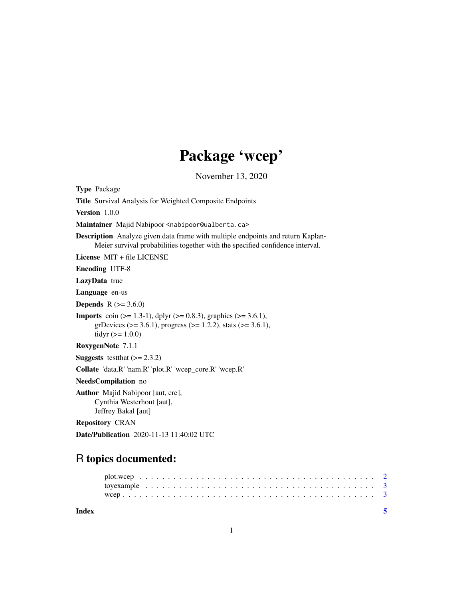# Package 'wcep'

November 13, 2020

<span id="page-0-0"></span>Type Package Title Survival Analysis for Weighted Composite Endpoints Version 1.0.0 Maintainer Majid Nabipoor <nabipoor@ualberta.ca> Description Analyze given data frame with multiple endpoints and return Kaplan-Meier survival probabilities together with the specified confidence interval. License MIT + file LICENSE Encoding UTF-8 LazyData true Language en-us **Depends**  $R (= 3.6.0)$ **Imports** coin ( $> = 1.3-1$ ), dplyr ( $> = 0.8.3$ ), graphics ( $> = 3.6.1$ ), grDevices ( $>= 3.6.1$ ), progress ( $>= 1.2.2$ ), stats ( $>= 3.6.1$ ), tidyr  $(>= 1.0.0)$ RoxygenNote 7.1.1 **Suggests** test that  $(>= 2.3.2)$ Collate 'data.R' 'nam.R' 'plot.R' 'wcep\_core.R' 'wcep.R' NeedsCompilation no Author Majid Nabipoor [aut, cre], Cynthia Westerhout [aut], Jeffrey Bakal [aut] Repository CRAN

Date/Publication 2020-11-13 11:40:02 UTC

# R topics documented:

| Index |  |  |  |  |  |  |  |  |  |  |  |  |  |  |  |  |  |  |  |  |  |  |
|-------|--|--|--|--|--|--|--|--|--|--|--|--|--|--|--|--|--|--|--|--|--|--|
|       |  |  |  |  |  |  |  |  |  |  |  |  |  |  |  |  |  |  |  |  |  |  |
|       |  |  |  |  |  |  |  |  |  |  |  |  |  |  |  |  |  |  |  |  |  |  |
|       |  |  |  |  |  |  |  |  |  |  |  |  |  |  |  |  |  |  |  |  |  |  |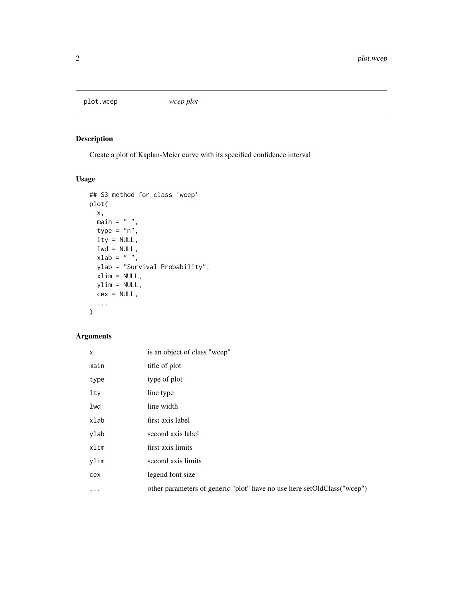<span id="page-1-0"></span>plot.wcep *wcep plot*

# Description

Create a plot of Kaplan-Meier curve with its specified confidence interval

## Usage

```
## S3 method for class 'wcep'
plot(
 x,
 \sin = " ",
 type = "n",lty = NULL,lwd = NULL,xlab = " ",
 ylab = "Survival Probability",
 xlim = NULL,
 ylim = NULL,
 cex = NULL,...
\mathcal{L}
```
# Arguments

| X        | is an object of class "weep"                                            |
|----------|-------------------------------------------------------------------------|
| main     | title of plot                                                           |
| type     | type of plot                                                            |
| lty      | line type                                                               |
| lwd      | line width                                                              |
| xlab     | first axis label                                                        |
| ylab     | second axis label                                                       |
| xlim     | first axis limits                                                       |
| ylim     | second axis limits                                                      |
| cex      | legend font size                                                        |
| $\cdots$ | other parameters of generic "plot" have no use here setOldClass("wcep") |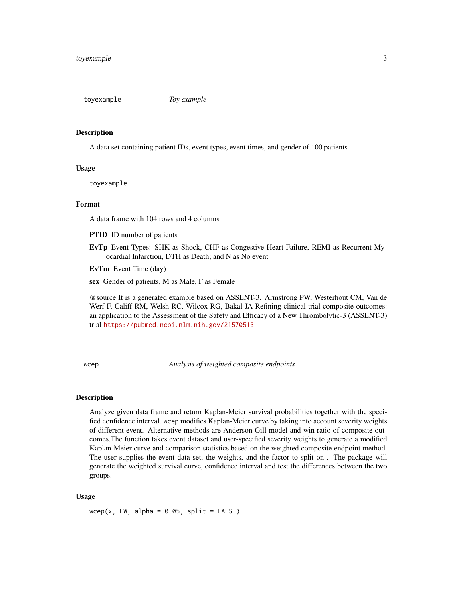<span id="page-2-0"></span>

#### Description

A data set containing patient IDs, event types, event times, and gender of 100 patients

#### Usage

toyexample

#### Format

A data frame with 104 rows and 4 columns

- PTID ID number of patients
- EvTp Event Types: SHK as Shock, CHF as Congestive Heart Failure, REMI as Recurrent Myocardial Infarction, DTH as Death; and N as No event

EvTm Event Time (day)

sex Gender of patients, M as Male, F as Female

@source It is a generated example based on ASSENT-3. Armstrong PW, Westerhout CM, Van de Werf F, Califf RM, Welsh RC, Wilcox RG, Bakal JA Refining clinical trial composite outcomes: an application to the Assessment of the Safety and Efficacy of a New Thrombolytic-3 (ASSENT-3) trial <https://pubmed.ncbi.nlm.nih.gov/21570513>

wcep *Analysis of weighted composite endpoints*

#### Description

Analyze given data frame and return Kaplan-Meier survival probabilities together with the specified confidence interval. wcep modifies Kaplan-Meier curve by taking into account severity weights of different event. Alternative methods are Anderson Gill model and win ratio of composite outcomes.The function takes event dataset and user-specified severity weights to generate a modified Kaplan-Meier curve and comparison statistics based on the weighted composite endpoint method. The user supplies the event data set, the weights, and the factor to split on . The package will generate the weighted survival curve, confidence interval and test the differences between the two groups.

#### Usage

 $wcep(x, EW, alpha = 0.05, split = FALSE)$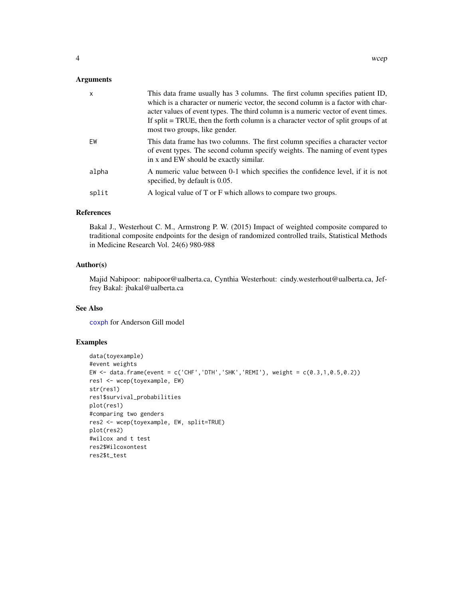#### <span id="page-3-0"></span>Arguments

| x     | This data frame usually has 3 columns. The first column specifies patient ID,<br>which is a character or numeric vector, the second column is a factor with char-<br>acter values of event types. The third column is a numeric vector of event times.<br>If split $=$ TRUE, then the forth column is a character vector of split groups of at<br>most two groups, like gender. |
|-------|---------------------------------------------------------------------------------------------------------------------------------------------------------------------------------------------------------------------------------------------------------------------------------------------------------------------------------------------------------------------------------|
| EW    | This data frame has two columns. The first column specifies a character vector<br>of event types. The second column specify weights. The naming of event types<br>in x and EW should be exactly similar.                                                                                                                                                                        |
| alpha | A numeric value between 0-1 which specifies the confidence level, if it is not<br>specified, by default is 0.05.                                                                                                                                                                                                                                                                |
| split | A logical value of T or F which allows to compare two groups.                                                                                                                                                                                                                                                                                                                   |

#### References

Bakal J., Westerhout C. M., Armstrong P. W. (2015) Impact of weighted composite compared to traditional composite endpoints for the design of randomized controlled trails, Statistical Methods in Medicine Research Vol. 24(6) 980-988

#### Author(s)

Majid Nabipoor: nabipoor@ualberta.ca, Cynthia Westerhout: cindy.westerhout@ualberta.ca, Jeffrey Bakal: jbakal@ualberta.ca

## See Also

[coxph](#page-0-0) for Anderson Gill model

#### Examples

```
data(toyexample)
#event weights
EW \le data.frame(event = c('CHF','DTH','SHK','REMI'), weight = c(0.3,1,0.5,0.2))
res1 <- wcep(toyexample, EW)
str(res1)
res1$survival_probabilities
plot(res1)
#comparing two genders
res2 <- wcep(toyexample, EW, split=TRUE)
plot(res2)
#wilcox and t test
res2$Wilcoxontest
res2$t_test
```